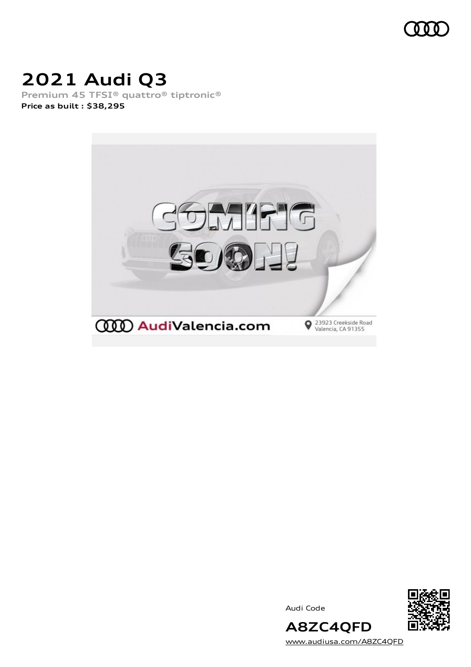

# **2021 Audi Q3**

**Premium 45 TFSI® quattro® tiptronic® Price as built [:](#page-10-0) \$38,295**







[www.audiusa.com/A8ZC4QFD](https://www.audiusa.com/A8ZC4QFD)

**A8ZC4QFD**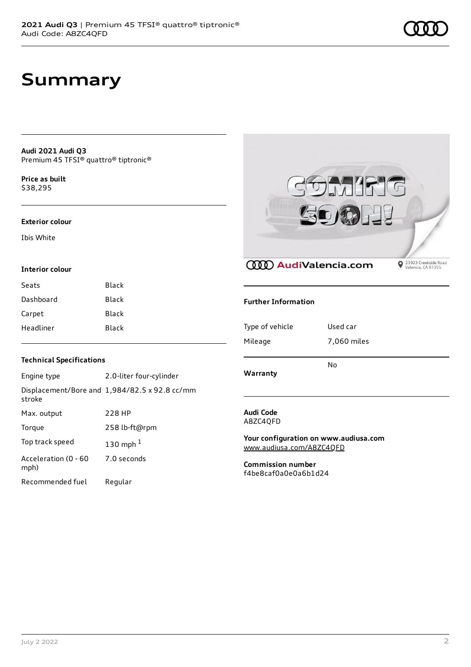**Audi 2021 Audi Q3** Premium 45 TFSI® quattro® tiptronic®

**Price as buil[t](#page-10-0)** \$38,295

#### **Exterior colour**

Ibis White

#### **Interior colour**

| Black |
|-------|
| Black |
| Black |
| Black |
|       |



**CCCO** AudiValencia.com

**◆** 23923 Creekside Road<br>Valencia, CA 91355

#### **Further Information**

| Warranty        | No          |
|-----------------|-------------|
| Mileage         | 7,060 miles |
| Type of vehicle | Used car    |

### **Audi Code**

A8ZC4QFD

**Your configuration on www.audiusa.com** [www.audiusa.com/A8ZC4QFD](https://www.audiusa.com/A8ZC4QFD)

**Commission number** f4be8caf0a0e0a6b1d24

#### **Technical Specifications**

| Engine type                  | 2.0-liter four-cylinder                       |
|------------------------------|-----------------------------------------------|
| stroke                       | Displacement/Bore and 1,984/82.5 x 92.8 cc/mm |
| Max. output                  | 228 HP                                        |
| Torque                       | 258 lb-ft@rpm                                 |
| Top track speed              | 130 mph $1$                                   |
| Acceleration (0 - 60<br>mph) | 7.0 seconds                                   |
| Recommended fuel             | Regular                                       |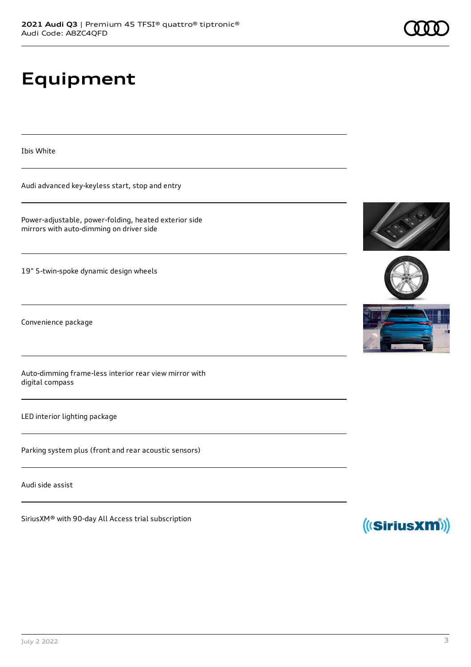# **Equipment**

Ibis White

Audi advanced key-keyless start, stop and entry

Power-adjustable, power-folding, heated exterior side mirrors with auto-dimming on driver side

19" 5-twin-spoke dynamic design wheels

Convenience package

Auto-dimming frame-less interior rear view mirror with digital compass

LED interior lighting package

Parking system plus (front and rear acoustic sensors)

Audi side assist

SiriusXM® with 90-day All Access trial subscription









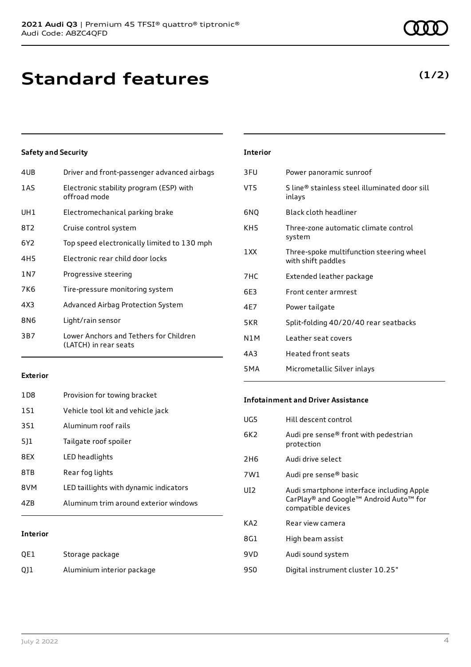# **Standard features**

#### **Safety and Security**

| 4UB   | Driver and front-passenger advanced airbags                     |
|-------|-----------------------------------------------------------------|
| 1AS   | Electronic stability program (ESP) with<br>offroad mode         |
| UH1   | Electromechanical parking brake                                 |
| 8T2   | Cruise control system                                           |
| 6Y2   | Top speed electronically limited to 130 mph                     |
| 4H5   | Electronic rear child door locks                                |
| 1 N 7 | Progressive steering                                            |
| 7K6   | Tire-pressure monitoring system                                 |
| 4X3   | Advanced Airbag Protection System                               |
| 8N6   | Light/rain sensor                                               |
| 3B7   | Lower Anchors and Tethers for Children<br>(LATCH) in rear seats |
|       |                                                                 |

| <b>Interior</b>  |                                                                |
|------------------|----------------------------------------------------------------|
| 3FU              | Power panoramic sunroof                                        |
| VT5              | S line® stainless steel illuminated door sill<br>inlays        |
| 6NQ              | <b>Black cloth headliner</b>                                   |
| KH5              | Three-zone automatic climate control<br>system                 |
| 1 XX             | Three-spoke multifunction steering wheel<br>with shift paddles |
| 7HC              | Extended leather package                                       |
| 6F3              | Front center armrest                                           |
| 4E7              | Power tailgate                                                 |
| 5KR              | Split-folding 40/20/40 rear seatbacks                          |
| N1M              | Leather seat covers                                            |
| 4A3              | Heated front seats                                             |
| 5 <sub>M</sub> A | Micrometallic Silver inlays                                    |

#### **Exterior**

| 47B             | Aluminum trim around exterior windows  |
|-----------------|----------------------------------------|
| 8VM             | LED taillights with dynamic indicators |
| 8TB             | Rear fog lights                        |
| 8FX             | LED headlights                         |
| 511             | Tailgate roof spoiler                  |
| 3S1             | Aluminum roof rails                    |
| 1S1             | Vehicle tool kit and vehicle jack      |
| 1D <sub>8</sub> | Provision for towing bracket           |

#### **Interior**

| QE1 | Storage package            |
|-----|----------------------------|
| Q11 | Aluminium interior package |

#### **Infotainment and Driver Assistance**

| UG5             | Hill descent control                                                                                      |
|-----------------|-----------------------------------------------------------------------------------------------------------|
| 6K <sub>2</sub> | Audi pre sense® front with pedestrian<br>protection                                                       |
| 2H <sub>6</sub> | Audi drive select                                                                                         |
| 7W1             | Audi pre sense <sup>®</sup> basic                                                                         |
| UI <sub>2</sub> | Audi smartphone interface including Apple<br>CarPlay® and Google™ Android Auto™ for<br>compatible devices |
| KA <sub>2</sub> | Rear view camera                                                                                          |
| 8G1             | High beam assist                                                                                          |
| 9VD             | Audi sound system                                                                                         |
| 9S0             | Digital instrument cluster 10.25"                                                                         |

### **(1/2)**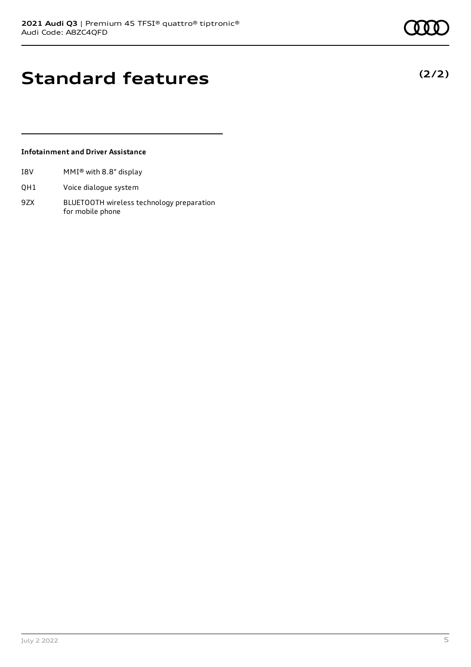**(2/2)**

## **Standard features**

#### **Infotainment and Driver Assistance**

- I8V MMI® with 8.8" display
- QH1 Voice dialogue system
- 9ZX BLUETOOTH wireless technology preparation for mobile phone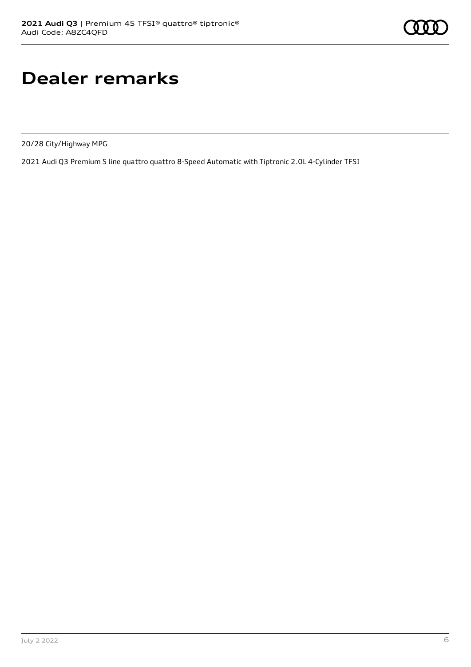# **Dealer remarks**

20/28 City/Highway MPG

2021 Audi Q3 Premium S line quattro quattro 8-Speed Automatic with Tiptronic 2.0L 4-Cylinder TFSI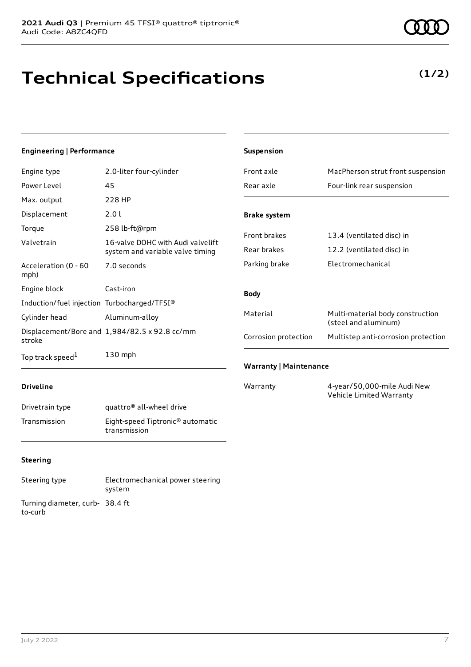# **Technical Specifications**

**(1/2)**

#### **Engineering | Performance**

| Engine type                                 | 2.0-liter four-cylinder                                               |
|---------------------------------------------|-----------------------------------------------------------------------|
| Power Level                                 | 45                                                                    |
| Max. output                                 | 228 HP                                                                |
| Displacement                                | 2.0 l                                                                 |
| Torque                                      | 258 lb-ft@rpm                                                         |
| Valvetrain                                  | 16-valve DOHC with Audi valvelift<br>system and variable valve timing |
| Acceleration (0 - 60<br>mph)                | 7.0 seconds                                                           |
| Engine block                                | Cast-iron                                                             |
| Induction/fuel injection Turbocharged/TFSI® |                                                                       |
| Cylinder head                               | Aluminum-alloy                                                        |
| stroke                                      | Displacement/Bore and 1,984/82.5 x 92.8 cc/mm                         |
| Top track speed <sup>1</sup>                | $130$ mph                                                             |

| <b>Suspension</b>             |                                                          |
|-------------------------------|----------------------------------------------------------|
| Front axle                    | MacPherson strut front suspension                        |
| Rear axle                     | Four-link rear suspension                                |
| <b>Brake system</b>           |                                                          |
| <b>Front brakes</b>           | 13.4 (ventilated disc) in                                |
| Rear brakes                   | 12.2 (ventilated disc) in                                |
| Parking brake                 | Electromechanical                                        |
| <b>Body</b>                   |                                                          |
| Material                      | Multi-material body construction<br>(steel and aluminum) |
| Corrosion protection          | Multistep anti-corrosion protection                      |
| <b>Warranty   Maintenance</b> |                                                          |
| Warranty                      | 4-year/50,000-mile Audi New                              |

Vehicle Limited Warranty

#### **Driveline**

| Drivetrain type | quattro <sup>®</sup> all-wheel drive                         |
|-----------------|--------------------------------------------------------------|
| Transmission    | Eight-speed Tiptronic <sup>®</sup> automatic<br>transmission |

#### **Steering**

Steering type Electromechanical power steering system Turning diameter, curb-38.4 ft to-curb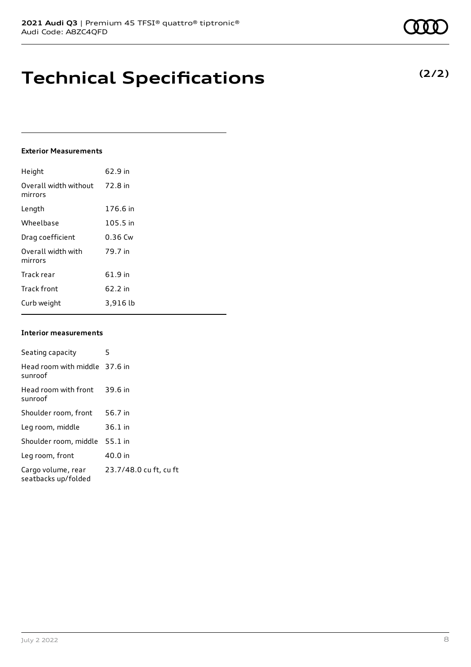## **Technical Specifications**

#### **Exterior Measurements**

| Height                           | 62.9 in   |
|----------------------------------|-----------|
| Overall width without<br>mirrors | 72.8 in   |
| Length                           | 176.6 in  |
| Wheelbase                        | 105.5 in  |
| Drag coefficient                 | $0.36$ Cw |
| Overall width with<br>mirrors    | 79.7 in   |
| Track rear                       | 61.9 in   |
| <b>Track front</b>               | 62.2 in   |
| Curb weight                      | 3,916 lb  |

#### **Interior measurements**

| Seating capacity                          | 5                      |
|-------------------------------------------|------------------------|
| Head room with middle 37.6 in<br>sunroof  |                        |
| Head room with front<br>sunroof           | 39.6 in                |
| Shoulder room, front                      | 56.7 in                |
| Leg room, middle                          | $36.1$ in              |
| Shoulder room, middle                     | $55.1$ in              |
| Leg room, front                           | 40.0 in                |
| Cargo volume, rear<br>seatbacks up/folded | 23.7/48.0 cu ft, cu ft |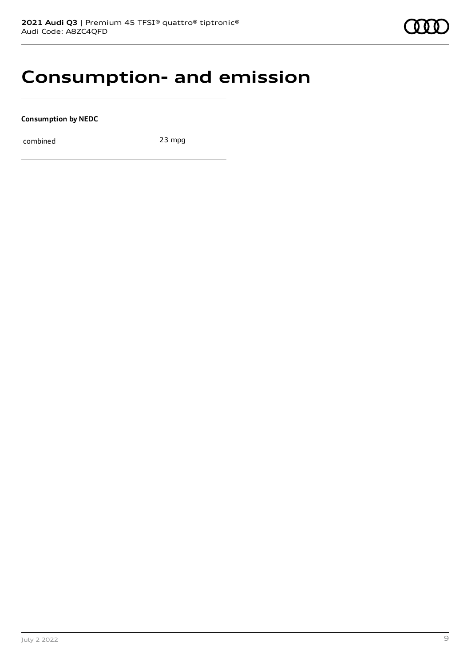### **Consumption- and emission**

**Consumption by NEDC**

combined 23 mpg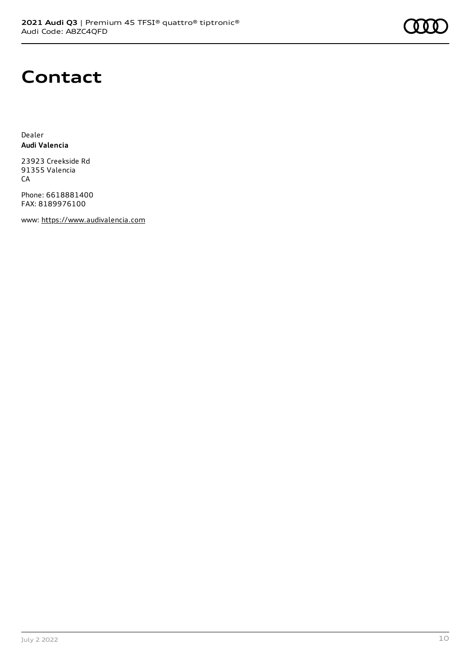

### **Contact**

Dealer **Audi Valencia**

23923 Creekside Rd 91355 Valencia **CA** 

Phone: 6618881400 FAX: 8189976100

www: [https://www.audivalencia.com](https://www.audivalencia.com/)